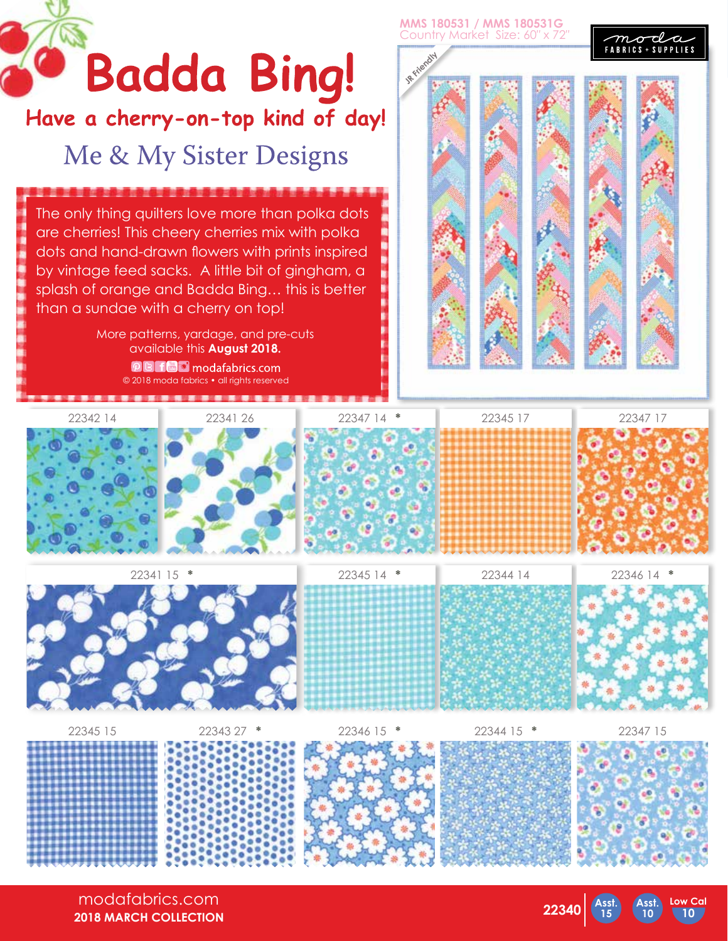

**2018 MARCH COLLECTION**

**22340 Asst.**

**15**

**10 10**